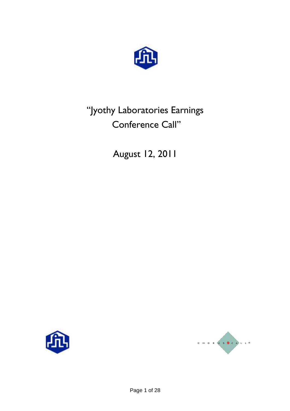

# "Jyothy Laboratories Earnings Conference Call"

August 12, 2011



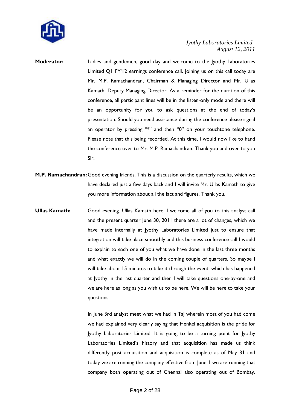

- **Moderator:** Ladies and gentlemen, good day and welcome to the lyothy Laboratories Limited Q1 FY'12 earnings conference call. Joining us on this call today are Mr. M.P. Ramachandran, Chairman & Managing Director and Mr. Ullas Kamath, Deputy Managing Director. As a reminder for the duration of this conference, all participant lines will be in the listen-only mode and there will be an opportunity for you to ask questions at the end of today's presentation. Should you need assistance during the conference please signal an operator by pressing "\*" and then "0" on your touchtone telephone. Please note that this being recorded. At this time, I would now like to hand the conference over to Mr. M.P. Ramachandran. Thank you and over to you Sir.
- **M.P. Ramachandran:** Good evening friends. This is a discussion on the quarterly results, which we have declared just a few days back and I will invite Mr. Ullas Kamath to give you more information about all the fact and figures. Thank you.
- **Ullas Kamath:** Good evening. Ullas Kamath here. I welcome all of you to this analyst call and the present quarter June 30, 2011 there are a lot of changes, which we have made internally at Jyothy Laboratories Limited just to ensure that integration will take place smoothly and this business conference call I would to explain to each one of you what we have done in the last three months and what exactly we will do in the coming couple of quarters. So maybe I will take about 15 minutes to take it through the event, which has happened at Jyothy in the last quarter and then I will take questions one-by-one and we are here as long as you wish us to be here. We will be here to take your questions.

 In June 3rd analyst meet what we had in Taj wherein most of you had come we had explained very clearly saying that Henkel acquisition is the pride for Jyothy Laboratories Limited. It is going to be a turning point for Jyothy Laboratories Limited's history and that acquisition has made us think differently post acquisition and acquisition is complete as of May 31 and today we are running the company effective from June 1 we are running that company both operating out of Chennai also operating out of Bombay.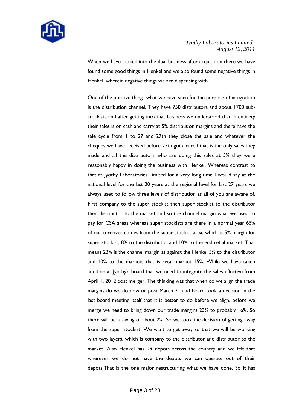

When we have looked into the dual business after acquisition there we have found some good things in Henkel and we also found some negative things in Henkel, wherein negative things we are dispensing with.

One of the positive things what we have seen for the purpose of integration is the distribution channel. They have 750 distributors and about 1700 substockists and after getting into that business we understood that in entirety their sales is on cash and carry at 5% distribution margins and there have the sale cycle from 1 to 27 and 27th they close the sale and whatever the cheques we have received before 27th got cleared that is the only sales they made and all the distributors who are doing this sales at 5% they were reasonably happy in doing the business with Henkel. Whereas contrast to that at Jyothy Laboratories Limited for a very long time I would say at the national level for the last 20 years at the regional level for last 27 years we always used to follow three levels of distribution as all of you are aware of. First company to the super stockist then super stockist to the distributor then distributor to the market and so the channel margin what we used to pay for CSA areas whereas super stockists are there in a normal year 65% of our turnover comes from the super stockist area, which is 5% margin for super stockist, 8% to the distributor and 10% to the end retail market. That means 23% is the channel margin as against the Henkel 5% to the distributor and 10% to the markets that is retail market 15%. While we have taken addition at Jyothy's board that we need to integrate the sales effective from April 1, 2012 post merger. The thinking was that when do we align the trade margins do we do now or post March 31 and board took a decision in the last board meeting itself that it is better to do before we align, before we merge we need to bring down our trade margins 23% to probably 16%. So there will be a saving of about **7**%. So we took the decision of getting away from the super stockist. We want to get away so that we will be working with two layers, which is company to the distributor and distributor to the market. Also Henkel has 29 depots across the country and we felt that wherever we do not have the depots we can operate out of their depots.That is the one major restructuring what we have done. So it has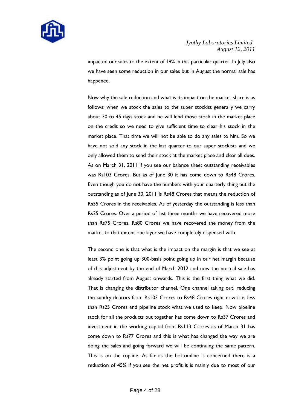

impacted our sales to the extent of 19% in this particular quarter. In July also we have seen some reduction in our sales but in August the normal sale has happened.

Now why the sale reduction and what is its impact on the market share is as follows: when we stock the sales to the super stockist generally we carry about 30 to 45 days stock and he will lend those stock in the market place on the credit so we need to give sufficient time to clear his stock in the market place. That time we will not be able to do any sales to him. So we have not sold any stock in the last quarter to our super stockists and we only allowed them to send their stock at the market place and clear all dues. As on March 31, 2011 if you see our balance sheet outstanding receivables was Rs103 Crores. But as of June 30 it has come down to Rs48 Crores. Even though you do not have the numbers with your quarterly thing but the outstanding as of June 30, 2011 is Rs48 Crores that means the reduction of Rs55 Crores in the receivables. As of yesterday the outstanding is less than Rs25 Crores. Over a period of last three months we have recovered more than Rs75 Crores, Rs80 Crores we have recovered the money from the market to that extent one layer we have completely dispensed with.

The second one is that what is the impact on the margin is that we see at least 3% point going up 300-basis point going up in our net margin because of this adjustment by the end of March 2012 and now the normal sale has already started from August onwards. This is the first thing what we did. That is changing the distributor channel. One channel taking out, reducing the sundry debtors from Rs103 Crores to Rs48 Crores right now it is less than Rs25 Crores and pipeline stock what we used to keep. Now pipeline stock for all the products put together has come down to Rs37 Crores and investment in the working capital from Rs113 Crores as of March 31 has come down to Rs77 Crores and this is what has changed the way we are doing the sales and going forward we will be continuing the same pattern. This is on the topline. As far as the bottomline is concerned there is a reduction of 45% if you see the net profit it is mainly due to most of our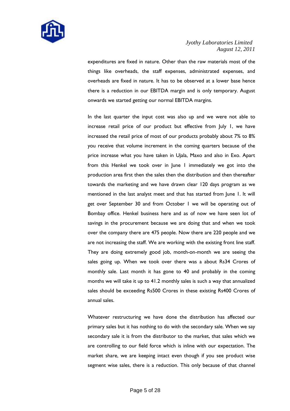

expenditures are fixed in nature. Other than the raw materials most of the things like overheads, the staff expenses, administrated expenses, and overheads are fixed in nature. It has to be observed at a lower base hence there is a reduction in our EBITDA margin and is only temporary. August onwards we started getting our normal EBITDA margins.

In the last quarter the input cost was also up and we were not able to increase retail price of our product but effective from July 1, we have increased the retail price of most of our products probably about 7% to 8% you receive that volume increment in the coming quarters because of the price increase what you have taken in Ujala, Maxo and also in Exo. Apart from this Henkel we took over in June 1 immediately we got into the production area first then the sales then the distribution and then thereafter towards the marketing and we have drawn clear 120 days program as we mentioned in the last analyst meet and that has started from June 1. It will get over September 30 and from October 1 we will be operating out of Bombay office. Henkel business here and as of now we have seen lot of savings in the procurement because we are doing that and when we took over the company there are 475 people. Now there are 220 people and we are not increasing the staff. We are working with the existing front line staff. They are doing extremely good job, month-on-month we are seeing the sales going up. When we took over there was a about Rs34 Crores of monthly sale. Last month it has gone to 40 and probably in the coming months we will take it up to 41.2 monthly sales is such a way that annualized sales should be exceeding Rs500 Crores in these existing Rs400 Crores of annual sales.

Whatever restructuring we have done the distribution has affected our primary sales but it has nothing to do with the secondary sale. When we say secondary sale it is from the distributor to the market, that sales which we are controlling to our field force which is inline with our expectation. The market share, we are keeping intact even though if you see product wise segment wise sales, there is a reduction. This only because of that channel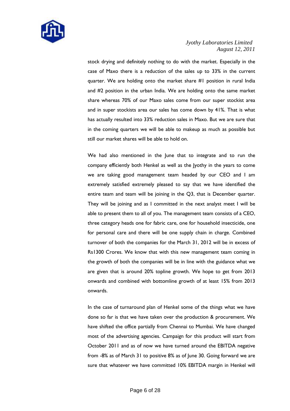

stock drying and definitely nothing to do with the market. Especially in the case of Maxo there is a reduction of the sales up to 33% in the current quarter. We are holding onto the market share #1 position in rural India and #2 position in the urban India. We are holding onto the same market share whereas 70% of our Maxo sales come from our super stockist area and in super stockists area our sales has come down by 41%. That is what has actually resulted into 33% reduction sales in Maxo. But we are sure that in the coming quarters we will be able to makeup as much as possible but still our market shares will be able to hold on.

We had also mentioned in the June that to integrate and to run the company efficiently both Henkel as well as the Jyothy in the years to come we are taking good management team headed by our CEO and I am extremely satisfied extremely pleased to say that we have identified the entire team and team will be joining in the Q3, that is December quarter. They will be joining and as I committed in the next analyst meet I will be able to present them to all of you. The management team consists of a CEO, three category heads one for fabric care, one for household insecticide, one for personal care and there will be one supply chain in charge. Combined turnover of both the companies for the March 31, 2012 will be in excess of Rs1300 Crores. We know that with this new management team coming in the growth of both the companies will be in line with the guidance what we are given that is around 20% topline growth. We hope to get from 2013 onwards and combined with bottomline growth of at least 15% from 2013 onwards.

In the case of turnaround plan of Henkel some of the things what we have done so far is that we have taken over the production & procurement. We have shifted the office partially from Chennai to Mumbai. We have changed most of the advertising agencies. Campaign for this product will start from October 2011 and as of now we have turned around the EBITDA negative from -8% as of March 31 to positive 8% as of June 30. Going forward we are sure that whatever we have committed 10% EBITDA margin in Henkel will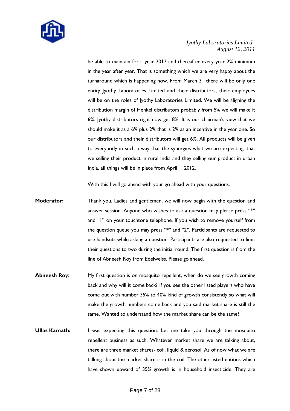

be able to maintain for a year 2012 and thereafter every year 2% minimum in the year after year. That is something which we are very happy about the turnaround which is happening now. From March 31 there will be only one entity Jyothy Laboratories Limited and their distributors, their employees will be on the roles of Jyothy Laboratories Limited. We will be aligning the distribution margin of Henkel distributors probably from 5% we will make it 6%. Jyothy distributors right now get 8%. It is our chairman's view that we should make it as a 6% plus 2% that is 2% as an incentive in the year one. So our distributors and their distributors will get 6%. All products will be given to everybody in such a way that the synergies what we are expecting, that we selling their product in rural India and they selling our product in urban India, all things will be in place from April 1, 2012.

With this I will go ahead with your go ahead with your questions.

- **Moderator:** Thank you. Ladies and gentlemen, we will now begin with the question and answer session. Anyone who wishes to ask a question may please press "\*" and "1" on your touchtone telephone. If you wish to remove yourself from the question queue you may press "\*" and "2". Participants are requested to use handsets while asking a question. Participants are also requested to limit their questions to two during the initial round. The first question is from the line of Abneesh Roy from Edelweiss. Please go ahead.
- **Abneesh Roy:** My first question is on mosquito repellent, when do we see growth coming back and why will it come back? If you see the other listed players who have come out with number 35% to 40% kind of growth consistently so what will make the growth numbers come back and you said market share is still the same. Wanted to understand how the market share can be the same?
- **Ullas Kamath:** I was expecting this question. Let me take you through the mosquito repellent business as such. Whatever market share we are talking about, there are three market shares- coil, liquid & aerosol. As of now what we are talking about the market share is in the coil. The other listed entities which have shown upward of 35% growth is in household insecticide. They are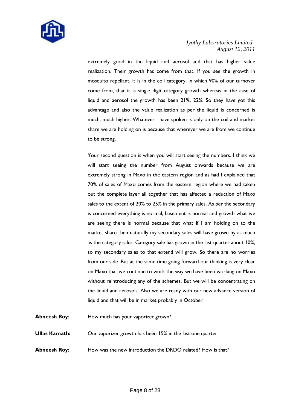

extremely good in the liquid and aerosol and that has higher value realization. Their growth has come from that. If you see the growth in mosquito repellant, it is in the coil category, in which 90% of our turnover come from, that it is single digit category growth whereas in the case of liquid and aerosol the growth has been 21%, 22%. So they have got this advantage and also the value realization as per the liquid is concerned is much, much higher. Whatever I have spoken is only on the coil and market share we are holding on is because that wherever we are from we continue to be strong.

Your second question is when you will start seeing the numbers. I think we will start seeing the number from August onwards because we are extremely strong in Maxo in the eastern region and as had I explained that 70% of sales of Maxo comes from the eastern region where we had taken out the complete layer all together that has affected a reduction of Maxo sales to the extent of 20% to 25% in the primary sales. As per the secondary is concerned everything is normal, basement is normal and growth what we are seeing there is normal because that what if I am holding on to the market share then naturally my secondary sales will have grown by as much as the category sales. Category sale has grown in the last quarter about 10%, so my secondary sales to that extend will grow. So there are no worries from our side. But at the same time going forward our thinking is very clear on Maxo that we continue to work the way we have been working on Maxo without reintroducing any of the schemes. But we will be concentrating on the liquid and aerosols. Also we are ready with our new advance version of liquid and that will be in market probably in October

**Abneesh Roy:** How much has your vaporizer grown?

**Ullas Kamath:** Our vaporizer growth has been 15% in the last one quarter

**Abneesh Roy:** How was the new introduction the DRDO related? How is that?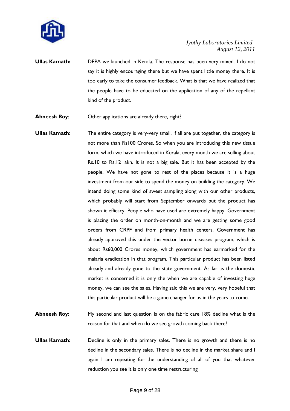

- **Ullas Kamath:** DEPA we launched in Kerala. The response has been very mixed. I do not say it is highly encouraging there but we have spent little money there. It is too early to take the consumer feedback. What is that we have realized that the people have to be educated on the application of any of the repellant kind of the product.
- **Abneesh Roy:** Other applications are already there, right?
- **Ullas Kamath:** The entire category is very-very small. If all are put together, the category is not more than Rs100 Crores. So when you are introducing this new tissue form, which we have introduced in Kerala, every month we are selling about Rs.10 to Rs.12 lakh. It is not a big sale. But it has been accepted by the people. We have not gone to rest of the places because it is a huge investment from our side to spend the money on building the category. We intend doing some kind of sweet sampling along with our other products, which probably will start from September onwards but the product has shown it efficacy. People who have used are extremely happy. Government is placing the order on month-on-month and we are getting some good orders from CRPF and from primary health centers. Government has already approved this under the vector borne diseases program, which is about Rs60,000 Crores money, which government has earmarked for the malaria eradication in that program. This particular product has been listed already and already gone to the state government. As far as the domestic market is concerned it is only the when we are capable of investing huge money, we can see the sales. Having said this we are very, very hopeful that this particular product will be a game changer for us in the years to come.
- **Abneesh Roy:** My second and last question is on the fabric care 18% decline what is the reason for that and when do we see growth coming back there?
- **Ullas Kamath:** Decline is only in the primary sales. There is no growth and there is no decline in the secondary sales. There is no decline in the market share and I again I am repeating for the understanding of all of you that whatever reduction you see it is only one time restructuring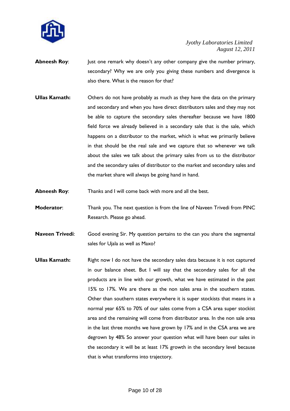

- **Abneesh Roy:** Just one remark why doesn't any other company give the number primary, secondary? Why we are only you giving these numbers and divergence is also there. What is the reason for that?
- **Ullas Kamath:** Others do not have probably as much as they have the data on the primary and secondary and when you have direct distributors sales and they may not be able to capture the secondary sales thereafter because we have 1800 field force we already believed in a secondary sale that is the sale, which happens on a distributor to the market, which is what we primarily believe in that should be the real sale and we capture that so whenever we talk about the sales we talk about the primary sales from us to the distributor and the secondary sales of distributor to the market and secondary sales and the market share will always be going hand in hand.
- **Abneesh Roy:** Thanks and I will come back with more and all the best.
- **Moderator:** Thank you. The next question is from the line of Naveen Trivedi from PINC Research. Please go ahead.
- **Naveen Trivedi**: Good evening Sir. My question pertains to the can you share the segmental sales for Ujala as well as Maxo?
- **Ullas Kamath:** Right now I do not have the secondary sales data because it is not captured in our balance sheet. But I will say that the secondary sales for all the products are in line with our growth, what we have estimated in the past 15% to 17%. We are there as the non sales area in the southern states. Other than southern states everywhere it is super stockists that means in a normal year 65% to 70% of our sales come from a CSA area super stockist area and the remaining will come from distributor area. In the non sale area in the last three months we have grown by 17% and in the CSA area we are degrown by 48% So answer your question what will have been our sales in the secondary it will be at least 17% growth in the secondary level because that is what transforms into trajectory.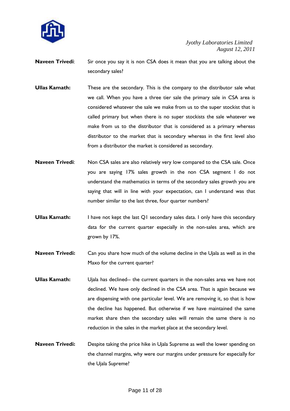

- **Naveen Trivedi**: Sir once you say it is non CSA does it mean that you are talking about the secondary sales?
- **Ullas Kamath:** These are the secondary. This is the company to the distributor sale what we call. When you have a three tier sale the primary sale in CSA area is considered whatever the sale we make from us to the super stockist that is called primary but when there is no super stockists the sale whatever we make from us to the distributor that is considered as a primary whereas distributor to the market that is secondary whereas in the first level also from a distributor the market is considered as secondary.
- **Naveen Trivedi:** Non CSA sales are also relatively very low compared to the CSA sale. Once you are saying 17% sales growth in the non CSA segment I do not understand the mathematics in terms of the secondary sales growth you are saying that will in line with your expectation, can I understand was that number similar to the last three, four quarter numbers?
- **Ullas Kamath:** I have not kept the last Q1 secondary sales data. I only have this secondary data for the current quarter especially in the non-sales area, which are grown by 17%.
- **Naveen Trivedi:** Can you share how much of the volume decline in the Ujala as well as in the Maxo for the current quarter?
- **Ullas Kamath:** Ujala has declined-- the current quarters in the non-sales area we have not declined. We have only declined in the CSA area. That is again because we are dispensing with one particular level. We are removing it, so that is how the decline has happened. But otherwise if we have maintained the same market share then the secondary sales will remain the same there is no reduction in the sales in the market place at the secondary level.
- **Naveen Trivedi:** Despite taking the price hike in Ujala Supreme as well the lower spending on the channel margins, why were our margins under pressure for especially for the Ujala Supreme?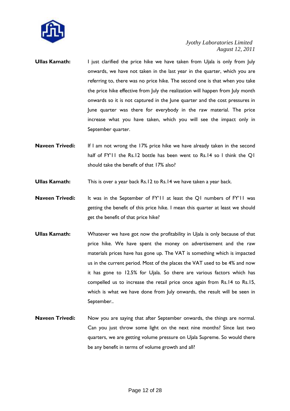

- **Ullas Kamath:** I just clarified the price hike we have taken from Ujala is only from July onwards, we have not taken in the last year in the quarter, which you are referring to, there was no price hike. The second one is that when you take the price hike effective from July the realization will happen from July month onwards so it is not captured in the June quarter and the cost pressures in June quarter was there for everybody in the raw material. The price increase what you have taken, which you will see the impact only in September quarter.
- **Naveen Trivedi:** If I am not wrong the 17% price hike we have already taken in the second half of FY'll the Rs.12 bottle has been went to Rs.14 so I think the Q1 should take the benefit of that 17% also?
- **Ullas Kamath:** This is over a year back Rs.12 to Rs.14 we have taken a year back.
- **Naveen Trivedi:** It was in the September of FY'll at least the Q1 numbers of FY'll was getting the benefit of this price hike. I mean this quarter at least we should get the benefit of that price hike?
- **Ullas Kamath:** Whatever we have got now the profitability in Ujala is only because of that price hike. We have spent the money on advertisement and the raw materials prices have has gone up. The VAT is something which is impacted us in the current period. Most of the places the VAT used to be 4% and now it has gone to 12.5% for Ujala. So there are various factors which has compelled us to increase the retail price once again from Rs.14 to Rs.15, which is what we have done from July onwards, the result will be seen in September..
- **Naveen Trivedi:** Now you are saying that after September onwards, the things are normal. Can you just throw some light on the next nine months? Since last two quarters, we are getting volume pressure on Ujala Supreme. So would there be any benefit in terms of volume growth and all?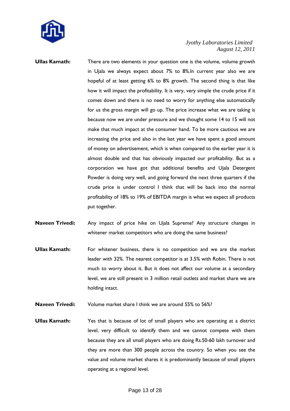

- **Ullas Kamath:** There are two elements in your question one is the volume, volume growth in Ujala we always expect about 7% to 8%.In current year also we are hopeful of at least getting 6% to 8% growth. The second thing is that like how it will impact the profitability. It is very, very simple the crude price if it comes down and there is no need to worry for anything else automatically for us the gross margin will go up. The price increase what we are taking is because now we are under pressure and we thought some 14 to 15 will not make that much impact at the consumer hand. To be more cautious we are increasing the price and also in the last year we have spent a good amount of money on advertisement, which is when compared to the earlier year it is almost double and that has obviously impacted our profitability. But as a corporation we have got that additional benefits and Ujala Detergent Powder is doing very well, and going forward the next three quarters if the crude price is under control I think that will be back into the normal profitability of 18% to 19% of EBITDA margin is what we expect all products put together.
- **Naveen Trivedi:** Any impact of price hike on Ujala Supreme? Any structure changes in whitener market competitors who are doing the same business?
- **Ullas Kamath:** For whitener business, there is no competition and we are the market leader with 32%. The nearest competitor is at 3.5% with Robin. There is not much to worry about it. But it does not affect our volume at a secondary level, we are still present in 3 million retail outlets and market share we are holding intact.
- **Naveen Trivedi:** Volume market share I think we are around 55% to 56%?
- **Ullas Kamath:** Yes that is because of lot of small players who are operating at a district level, very difficult to identify them and we cannot compete with them because they are all small players who are doing Rs.50-60 lakh turnover and they are more than 300 people across the country. So when you see the value and volume market shares it is predominantly because of small players operating at a regional level.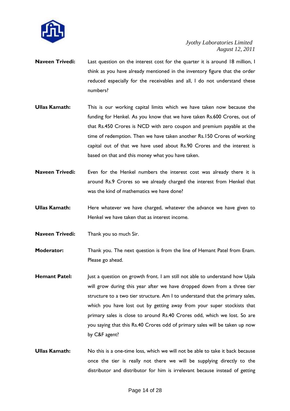

- **Naveen Trivedi:** Last question on the interest cost for the quarter it is around 18 million, I think as you have already mentioned in the inventory figure that the order reduced especially for the receivables and all, I do not understand these numbers?
- **Ullas Kamath:** This is our working capital limits which we have taken now because the funding for Henkel. As you know that we have taken Rs.600 Crores, out of that Rs.450 Crores is NCD with zero coupon and premium payable at the time of redemption. Then we have taken another Rs.150 Crores of working capital out of that we have used about Rs.90 Crores and the interest is based on that and this money what you have taken.
- **Naveen Trivedi:** Even for the Henkel numbers the interest cost was already there it is around Rs.9 Crores so we already charged the interest from Henkel that was the kind of mathematics we have done?
- **Ullas Kamath:** Here whatever we have charged, whatever the advance we have given to Henkel we have taken that as interest income.
- **Naveen Trivedi:** Thank you so much Sir.
- **Moderator:** Thank you. The next question is from the line of Hemant Patel from Enam. Please go ahead.
- **Hemant Patel:** Just a question on growth front. I am still not able to understand how Ujala will grow during this year after we have dropped down from a three tier structure to a two tier structure. Am I to understand that the primary sales, which you have lost out by getting away from your super stockists that primary sales is close to around Rs.40 Crores odd, which we lost. So are you saying that this Rs.40 Crores odd of primary sales will be taken up now by C&F agent?
- **Ullas Kamath:** No this is a one-time loss, which we will not be able to take it back because once the tier is really not there we will be supplying directly to the distributor and distributor for him is irrelevant because instead of getting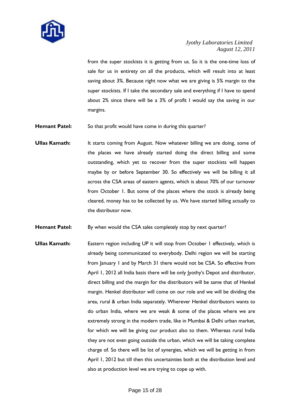

from the super stockists it is getting from us. So it is the one-time loss of sale for us in entirety on all the products, which will result into at least saving about 3%. Because right now what we are giving is 5% margin to the super stockists. If I take the secondary sale and everything if I have to spend about 2% since there will be a 3% of profit I would say the saving in our margins.

**Hemant Patel:** So that profit would have come in during this quarter?

**Ullas Kamath:** It starts coming from August. Now whatever billing we are doing, some of the places we have already started doing the direct billing and some outstanding, which yet to recover from the super stockists will happen maybe by or before September 30. So effectively we will be billing it all across the CSA areas of eastern agents, which is about 70% of our turnover from October 1. But some of the places where the stock is already being cleared, money has to be collected by us. We have started billing actually to the distributor now.

**Hemant Patel:** By when would the CSA sales completely stop by next quarter?

**Ullas Kamath:** Eastern region including UP it will stop from October 1 effectively, which is already being communicated to everybody. Delhi region we will be starting from January 1 and by March 31 there would not be CSA. So effective from April 1, 2012 all India basis there will be only Jyothy's Depot and distributor, direct billing and the margin for the distributors will be same that of Henkel margin. Henkel distributor will come on our role and we will be dividing the area, rural & urban India separately. Wherever Henkel distributors wants to do urban India, where we are weak & some of the places where we are extremely strong in the modern trade, like in Mumbai & Delhi urban market, for which we will be giving our product also to them. Whereas rural India they are not even going outside the urban, which we will be taking complete charge of. So there will be lot of synergies, which we will be getting in from April 1, 2012 but till then this uncertainties both at the distribution level and also at production level we are trying to cope up with.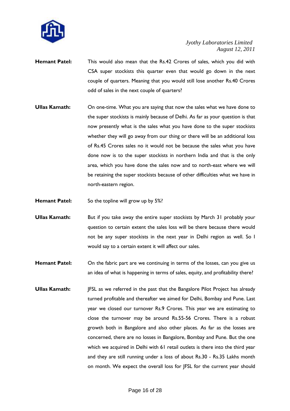

- **Hemant Patel:** This would also mean that the Rs.42 Crores of sales, which you did with CSA super stockists this quarter even that would go down in the next couple of quarters. Meaning that you would still lose another Rs.40 Crores odd of sales in the next couple of quarters?
- **Ullas Kamath:** On one-time. What you are saying that now the sales what we have done to the super stockists is mainly because of Delhi. As far as your question is that now presently what is the sales what you have done to the super stockists whether they will go away from our thing or there will be an additional loss of Rs.45 Crores sales no it would not be because the sales what you have done now is to the super stockists in northern India and that is the only area, which you have done the sales now and to north-east where we will be retaining the super stockists because of other difficulties what we have in north-eastern region.
- **Hemant Patel:** So the topline will grow up by 5%?
- **Ullas Kamath:** But if you take away the entire super stockists by March 31 probably your question to certain extent the sales loss will be there because there would not be any super stockists in the next year in Delhi region as well. So I would say to a certain extent it will affect our sales.
- **Hemant Patel:** On the fabric part are we continuing in terms of the losses, can you give us an idea of what is happening in terms of sales, equity, and profitability there?
- **Ullas Kamath:** JFSL as we referred in the past that the Bangalore Pilot Project has already turned profitable and thereafter we aimed for Delhi, Bombay and Pune. Last year we closed our turnover Rs.9 Crores. This year we are estimating to close the turnover may be around Rs.55-56 Crores. There is a robust growth both in Bangalore and also other places. As far as the losses are concerned, there are no losses in Bangalore, Bombay and Pune. But the one which we acquired in Delhi with 61 retail outlets is there into the third year and they are still running under a loss of about Rs.30 - Rs.35 Lakhs month on month. We expect the overall loss for JFSL for the current year should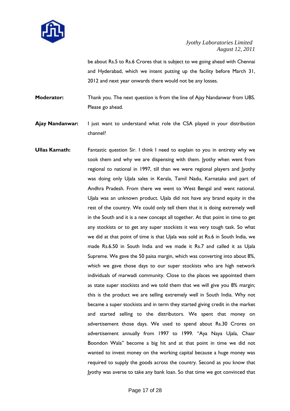

be about Rs.5 to Rs.6 Crores that is subject to we going ahead with Chennai and Hyderabad, which we intent putting up the facility before March 31, 2012 and next year onwards there would not be any losses.

**Moderator:** Thank you. The next question is from the line of Ajay Nandanwar from UBS. Please go ahead.

- **Ajay Nandanwar:** I just want to understand what role the CSA played in your distribution channel?
- **Ullas Kamath:** Fantastic question Sir. I think I need to explain to you in entirety why we took them and why we are dispensing with them. Jyothy when went from regional to national in 1997, till than we were regional players and Jyothy was doing only Ujala sales in Kerala, Tamil Nadu, Karnataka and part of Andhra Pradesh. From there we went to West Bengal and went national. Ujala was an unknown product. Ujala did not have any brand equity in the rest of the country. We could only tell them that it is doing extremely well in the South and it is a new concept all together. At that point in time to get any stockists or to get any super stockists it was very tough task. So what we did at that point of time is that Ujala was sold at Rs.6 in South India, we made Rs.6.50 in South India and we made it Rs.7 and called it as Ujala Supreme. We gave the 50 paisa margin, which was converting into about 8%, which we gave those days to our super stockists who are high network individuals of marwadi community. Close to the places we appointed them as state super stockists and we told them that we will give you 8% margin; this is the product we are selling extremely well in South India. Why not became a super stockists and in term they started giving credit in the market and started selling to the distributors. We spent that money on advertisement those days. We used to spend about Rs.30 Crores on advertisement annually from 1997 to 1999. "Aya Naya Ujala, Chaar Boondon Wala" become a big hit and at that point in time we did not wanted to invest money on the working capital because a huge money was required to supply the goods across the country. Second as you know that Jyothy was averse to take any bank loan. So that time we got convinced that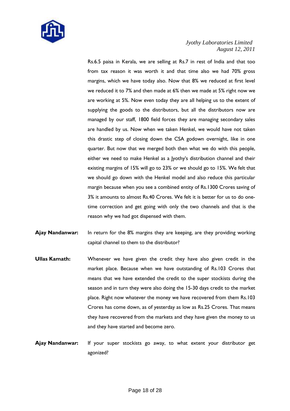

Rs.6.5 paisa in Kerala, we are selling at Rs.7 in rest of India and that too from tax reason it was worth it and that time also we had 70% gross margins, which we have today also. Now that 8% we reduced at first level we reduced it to 7% and then made at 6% then we made at 5% right now we are working at 5%. Now even today they are all helping us to the extent of supplying the goods to the distributors, but all the distributors now are managed by our staff, 1800 field forces they are managing secondary sales are handled by us. Now when we taken Henkel, we would have not taken this drastic step of closing down the CSA godown overnight, like in one quarter. But now that we merged both then what we do with this people, either we need to make Henkel as a Jyothy's distribution channel and their existing margins of 15% will go to 23% or we should go to 15%. We felt that we should go down with the Henkel model and also reduce this particular margin because when you see a combined entity of Rs.1300 Crores saving of 3% it amounts to almost Rs.40 Crores. We felt it is better for us to do onetime correction and get going with only the two channels and that is the reason why we had got dispensed with them.

- **Ajay Nandanwar:** In return for the 8% margins they are keeping, are they providing working capital channel to them to the distributor?
- **Ullas Kamath:** Whenever we have given the credit they have also given credit in the market place. Because when we have outstanding of Rs.103 Crores that means that we have extended the credit to the super stockists during the season and in turn they were also doing the 15-30 days credit to the market place. Right now whatever the money we have recovered from them Rs.103 Crores has come down, as of yesterday as low as Rs.25 Crores. That means they have recovered from the markets and they have given the money to us and they have started and become zero.
- **Ajay Nandanwar:** If your super stockists go away, to what extent your distributor get agonized?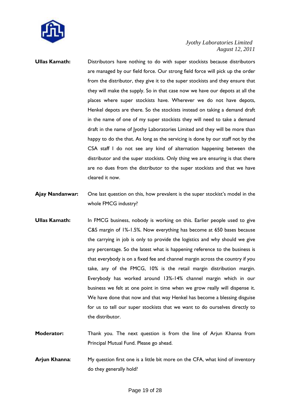

- **Ullas Kamath:** Distributors have nothing to do with super stockists because distributors are managed by our field force. Our strong field force will pick up the order from the distributor, they give it to the super stockists and they ensure that they will make the supply. So in that case now we have our depots at all the places where super stockists have. Wherever we do not have depots, Henkel depots are there. So the stockists instead on taking a demand draft in the name of one of my super stockists they will need to take a demand draft in the name of Jyothy Laboratories Limited and they will be more than happy to do the that. As long as the servicing is done by our staff not by the CSA staff I do not see any kind of alternation happening between the distributor and the super stockists. Only thing we are ensuring is that there are no dues from the distributor to the super stockists and that we have cleared it now.
- **Ajay Nandanwar:** One last question on this, how prevalent is the super stockist's model in the whole FMCG industry?
- **Ullas Kamath:** In FMCG business, nobody is working on this. Earlier people used to give C&S margin of 1%-1.5%. Now everything has become at 650 bases because the carrying in job is only to provide the logistics and why should we give any percentage. So the latest what is happening reference to the business is that everybody is on a fixed fee and channel margin across the country if you take, any of the FMCG, 10% is the retail margin distribution margin. Everybody has worked around 13%-14% channel margin which in our business we felt at one point in time when we grow really will dispense it. We have done that now and that way Henkel has become a blessing disguise for us to tell our super stockists that we want to do ourselves directly to the distributor.
- **Moderator:** Thank you. The next question is from the line of Arjun Khanna from Principal Mutual Fund. Please go ahead.
- **Arjun Khanna:** My question first one is a little bit more on the CFA, what kind of inventory do they generally hold?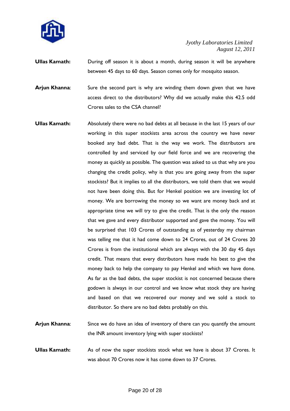

- **Ullas Kamath:** During off season it is about a month, during season it will be anywhere between 45 days to 60 days. Season comes only for mosquito season.
- **Arjun Khanna**: Sure the second part is why are winding them down given that we have access direct to the distributors? Why did we actually make this 42.5 odd Crores sales to the CSA channel?
- **Ullas Kamath:** Absolutely there were no bad debts at all because in the last 15 years of our working in this super stockists area across the country we have never booked any bad debt. That is the way we work. The distributors are controlled by and serviced by our field force and we are recovering the money as quickly as possible. The question was asked to us that why are you changing the credit policy, why is that you are going away from the super stockists? But it implies to all the distributors, we told them that we would not have been doing this. But for Henkel position we are investing lot of money. We are borrowing the money so we want are money back and at appropriate time we will try to give the credit. That is the only the reason that we gave and every distributor supported and gave the money. You will be surprised that 103 Crores of outstanding as of yesterday my chairman was telling me that it had come down to 24 Crores, out of 24 Crores 20 Crores is from the institutional which are always with the 30 day 45 days credit. That means that every distributors have made his best to give the money back to help the company to pay Henkel and which we have done. As far as the bad debts, the super stockist is not concerned because there godown is always in our control and we know what stock they are having and based on that we recovered our money and we sold a stock to distributor. So there are no bad debts probably on this.
- **Arjun Khanna**: Since we do have an idea of inventory of there can you quantify the amount the INR amount inventory lying with super stockists?
- **Ullas Kamath:** As of now the super stockists stock what we have is about 37 Crores. It was about 70 Crores now it has come down to 37 Crores.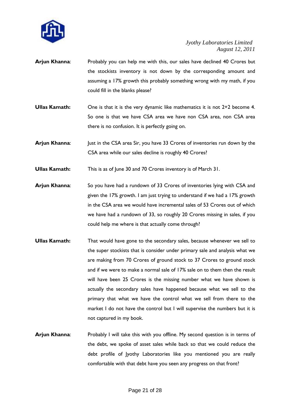

- **Arjun Khanna:** Probably you can help me with this, our sales have declined 40 Crores but the stockists inventory is not down by the corresponding amount and assuming a 17% growth this probably something wrong with my math, if you could fill in the blanks please?
- **Ullas Kamath:** One is that it is the very dynamic like mathematics it is not 2+2 become 4. So one is that we have CSA area we have non CSA area, non CSA area there is no confusion. It is perfectly going on.
- **Arjun Khanna:** Just in the CSA area Sir, you have 33 Crores of inventories run down by the CSA area while our sales decline is roughly 40 Crores?
- **Ullas Kamath:** This is as of June 30 and 70 Crores inventory is of March 31.
- **Arjun Khanna**: So you have had a rundown of 33 Crores of inventories lying with CSA and given the 17% growth. I am just trying to understand if we had a 17% growth in the CSA area we would have incremental sales of 53 Crores out of which we have had a rundown of 33, so roughly 20 Crores missing in sales, if you could help me where is that actually come through?
- **Ullas Kamath:** That would have gone to the secondary sales, because whenever we sell to the super stockists that is consider under primary sale and analysis what we are making from 70 Crores of ground stock to 37 Crores to ground stock and if we were to make a normal sale of 17% sale on to them then the result will have been 25 Crores is the missing number what we have shown is actually the secondary sales have happened because what we sell to the primary that what we have the control what we sell from there to the market I do not have the control but I will supervise the numbers but it is not captured in my book.
- Arjun Khanna: Probably I will take this with you offline. My second question is in terms of the debt, we spoke of asset sales while back so that we could reduce the debt profile of Jyothy Laboratories like you mentioned you are really comfortable with that debt have you seen any progress on that front?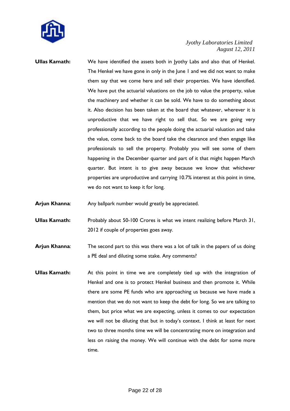

- **Ullas Kamath:** We have identified the assets both in Jyothy Labs and also that of Henkel. The Henkel we have gone in only in the June 1 and we did not want to make them say that we come here and sell their properties. We have identified. We have put the actuarial valuations on the job to value the property, value the machinery and whether it can be sold. We have to do something about it. Also decision has been taken at the board that whatever, wherever it is unproductive that we have right to sell that. So we are going very professionally according to the people doing the actuarial valuation and take the value, come back to the board take the clearance and then engage like professionals to sell the property. Probably you will see some of them happening in the December quarter and part of it that might happen March quarter. But intent is to give away because we know that whichever properties are unproductive and carrying 10.7% interest at this point in time, we do not want to keep it for long.
- **Arjun Khanna:** Any ballpark number would greatly be appreciated.
- **Ullas Kamath:** Probably about 50-100 Crores is what we intent realizing before March 31, 2012 if couple of properties goes away.
- **Arjun Khanna:** The second part to this was there was a lot of talk in the papers of us doing a PE deal and diluting some stake. Any comments?
- **Ullas Kamath:** At this point in time we are completely tied up with the integration of Henkel and one is to protect Henkel business and then promote it. While there are some PE funds who are approaching us because we have made a mention that we do not want to keep the debt for long. So we are talking to them, but price what we are expecting, unless it comes to our expectation we will not be diluting that but in today's context. I think at least for next two to three months time we will be concentrating more on integration and less on raising the money. We will continue with the debt for some more time.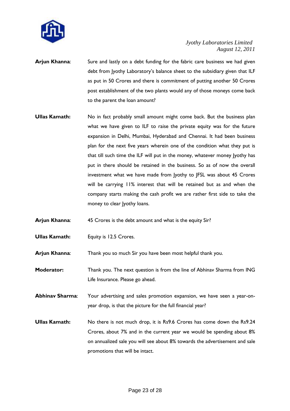

- **Arjun Khanna:** Sure and lastly on a debt funding for the fabric care business we had given debt from Jyothy Laboratory's balance sheet to the subsidiary given that ILF as put in 50 Crores and there is commitment of putting another 50 Crores post establishment of the two plants would any of those moneys come back to the parent the loan amount?
- **Ullas Kamath:** No in fact probably small amount might come back. But the business plan what we have given to ILF to raise the private equity was for the future expansion in Delhi, Mumbai, Hyderabad and Chennai. It had been business plan for the next five years wherein one of the condition what they put is that till such time the ILF will put in the money, whatever money Jyothy has put in there should be retained in the business. So as of now the overall investment what we have made from Jyothy to JFSL was about 45 Crores will be carrying 11% interest that will be retained but as and when the company starts making the cash profit we are rather first side to take the money to clear Jyothy loans.
- **Arjun Khanna:** 45 Crores is the debt amount and what is the equity Sir?
- **Ullas Kamath:** Equity is 12.5 Crores.

**Arjun Khanna**: Thank you so much Sir you have been most helpful thank you.

- **Moderator:** Thank you. The next question is from the line of Abhinav Sharma from ING Life Insurance. Please go ahead.
- **Abhinav Sharma**: Your advertising and sales promotion expansion, we have seen a year-onyear drop, is that the picture for the full financial year?
- **Ullas Kamath:** No there is not much drop, it is Rs9.6 Crores has come down the Rs9.24 Crores, about 7% and in the current year we would be spending about 8% on annualized sale you will see about 8% towards the advertisement and sale promotions that will be intact.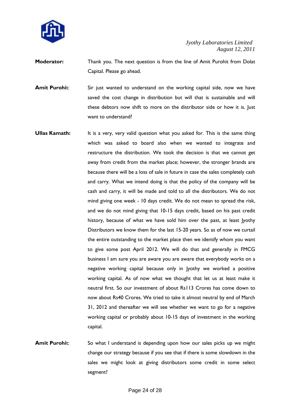

- **Moderator:** Thank you. The next question is from the line of Amit Purohit from Dolat Capital. Please go ahead.
- **Amit Purohit:** Sir just wanted to understand on the working capital side, now we have saved the cost change in distribution but will that is sustainable and will these debtors now shift to more on the distributor side or how it is. Just want to understand?
- **Ullas Kamath:** It is a very, very valid question what you asked for. This is the same thing which was asked to board also when we wanted to integrate and restructure the distribution. We took the decision is that we cannot get away from credit from the market place; however, the stronger brands are because there will be a loss of sale in future in case the sales completely cash and carry. What we intend doing is that the policy of the company will be cash and carry, it will be made and told to all the distributors. We do not mind giving one week - 10 days credit. We do not mean to spread the risk, and we do not mind giving that 10-15 days credit, based on his past credit history, because of what we have sold him over the past, at least Jyothy Distributors we know them for the last 15-20 years. So as of now we curtail the entire outstanding to the market place then we identify whom you want to give some post April 2012. We will do that and generally in FMCG business I am sure you are aware you are aware that everybody works on a negative working capital because only in Jyothy we worked a positive working capital. As of now what we thought that let us at least make it neutral first. So our investment of about Rs113 Crores has come down to now about Rs40 Crores. We tried to take it almost neutral by end of March 31, 2012 and thereafter we will see whether we want to go for a negative working capital or probably about 10-15 days of investment in the working capital.
- **Amit Purohit:** So what I understand is depending upon how our sales picks up we might change our strategy because if you see that if there is some slowdown in the sales we might look at giving distributors some credit in some select segment?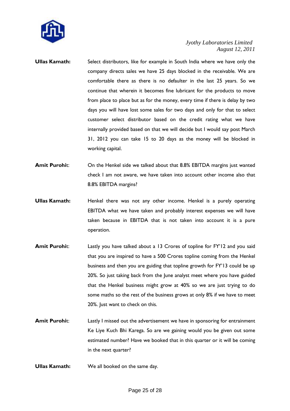

- **Ullas Kamath:** Select distributors, like for example in South India where we have only the company directs sales we have 25 days blocked in the receivable. We are comfortable there as there is no defaulter in the last 25 years. So we continue that wherein it becomes fine lubricant for the products to move from place to place but as for the money, every time if there is delay by two days you will have lost some sales for two days and only for that to select customer select distributor based on the credit rating what we have internally provided based on that we will decide but I would say post March 31, 2012 you can take 15 to 20 days as the money will be blocked in working capital.
- **Amit Purohit:** On the Henkel side we talked about that 8.8% EBITDA margins just wanted check I am not aware, we have taken into account other income also that 8.8% EBITDA margins?
- **Ullas Kamath:** Henkel there was not any other income. Henkel is a purely operating EBITDA what we have taken and probably interest expenses we will have taken because in EBITDA that is not taken into account it is a pure operation.
- **Amit Purohit:** Lastly you have talked about a 13 Crores of topline for FY'12 and you said that you are inspired to have a 500 Crores topline coming from the Henkel business and then you are guiding that topline growth for FY'13 could be up 20%. So just taking back from the June analyst meet where you have guided that the Henkel business might grow at 40% so we are just trying to do some maths so the rest of the business grows at only 8% if we have to meet 20%. Just want to check on this.
- **Amit Purohit:** Lastly I missed out the advertisement we have in sponsoring for entrainment Ke Liye Kuch Bhi Karega. So are we gaining would you be given out some estimated number? Have we booked that in this quarter or it will be coming in the next quarter?
- **Ullas Kamath:** We all booked on the same day.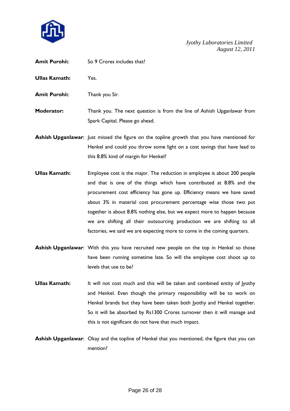

- **Amit Purohit:** So 9 Crores includes that?
- **Ullas Kamath:** Yes.
- **Amit Purohit:** Thank you Sir.
- **Moderator:** Thank you. The next question is from the line of Ashish Upganlawar from Spark Capital. Please go ahead.
- **Ashish Upganlawar:** Just missed the figure on the topline growth that you have mentioned for Henkel and could you throw some light on a cost savings that have lead to this 8.8% kind of margin for Henkel?
- **Ullas Kamath:** Employee cost is the major. The reduction in employee is about 200 people and that is one of the things which have contributed at 8.8% and the procurement cost efficiency has gone up. Efficiency means we have saved about 3% in material cost procurement percentage wise those two put together is about 8.8% nothing else, but we expect more to happen because we are shifting all their outsourcing production we are shifting to all factories, we said we are expecting more to come in the coming quarters.
- **Ashish Upganlawar**: With this you have recruited new people on the top in Henkel so those have been running sometime late. So will the employee cost shoot up to levels that use to be?
- **Ullas Kamath:** It will not cost much and this will be taken and combined entity of lyothy and Henkel. Even though the primary responsibility will be to work on Henkel brands but they have been taken both Jyothy and Henkel together. So it will be absorbed by Rs1300 Crores turnover then it will manage and this is not significant do not have that much impact.
- **Ashish Upganlawar**: Okay and the topline of Henkel that you mentioned, the figure that you can mention?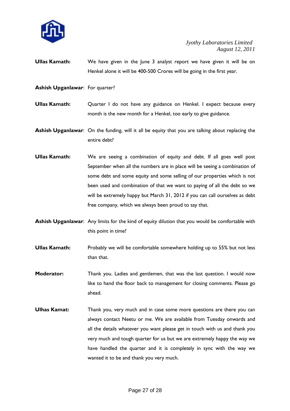

- **Ullas Kamath:** We have given in the June 3 analyst report we have given it will be on Henkel alone it will be 400-500 Crores will be going in the first year.
- **Ashish Upganlawar**: For quarter?
- **Ullas Kamath:** Quarter I do not have any guidance on Henkel. I expect because every month is the new month for a Henkel, too early to give guidance.

**Ashish Upganlawar**: On the funding, will it all be equity that you are talking about replacing the entire debt?

- **Ullas Kamath:** We are seeing a combination of equity and debt. If all goes well post September when all the numbers are in place will be seeing a combination of some debt and some equity and some selling of our properties which is not been used and combination of that we want to paying of all the debt so we will be extremely happy but March 31, 2012 if you can call ourselves as debt free company, which we always been proud to say that.
- **Ashish Upganlawar**: Any limits for the kind of equity dilution that you would be comfortable with this point in time?
- **Ullas Kamath:** Probably we will be comfortable somewhere holding up to 55% but not less than that.
- **Moderator:** Thank you. Ladies and gentlemen, that was the last question. I would now like to hand the floor back to management for closing comments. Please go ahead.
- **Ulhas Kamat:** Thank you, very much and in case some more questions are there you can always contact Neetu or me. We are available from Tuesday onwards and all the details whatever you want please get in touch with us and thank you very much and tough quarter for us but we are extremely happy the way we have handled the quarter and it is completely in sync with the way we wanted it to be and thank you very much.